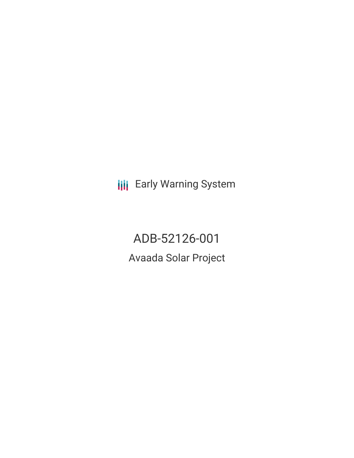**III** Early Warning System

ADB-52126-001 Avaada Solar Project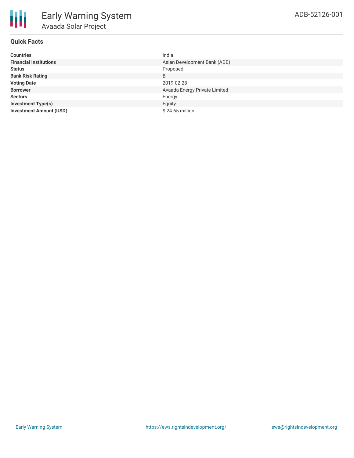

| <b>Countries</b>               | India                         |
|--------------------------------|-------------------------------|
| <b>Financial Institutions</b>  | Asian Development Bank (ADB)  |
| <b>Status</b>                  | Proposed                      |
| <b>Bank Risk Rating</b>        | B                             |
| <b>Voting Date</b>             | 2019-02-28                    |
| <b>Borrower</b>                | Avaada Energy Private Limited |
| <b>Sectors</b>                 | Energy                        |
| <b>Investment Type(s)</b>      | Equity                        |
| <b>Investment Amount (USD)</b> | $$24.65$ million              |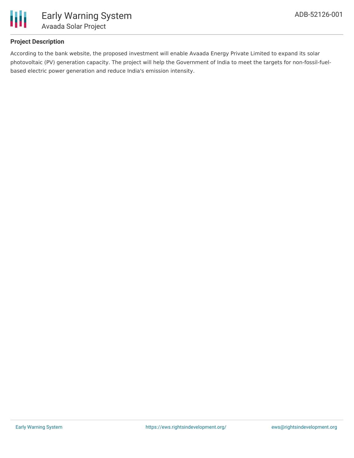

# **Project Description**

According to the bank website, the proposed investment will enable Avaada Energy Private Limited to expand its solar photovoltaic (PV) generation capacity. The project will help the Government of India to meet the targets for non-fossil-fuelbased electric power generation and reduce India's emission intensity.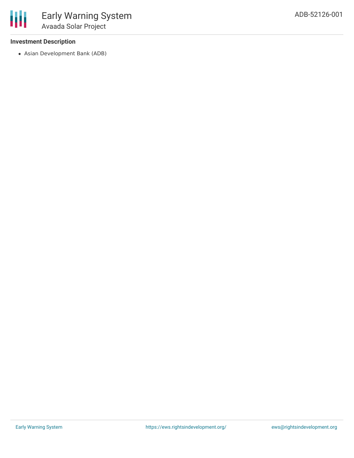## **Investment Description**

Asian Development Bank (ADB)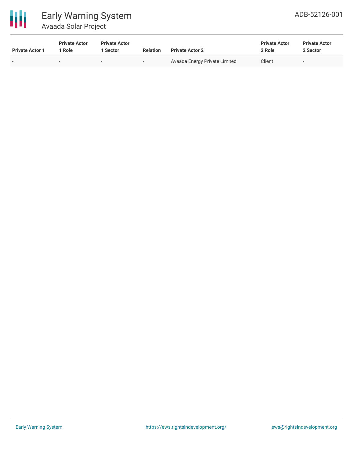

# Early Warning System Avaada Solar Project

| <b>Private Actor 1</b> | <b>Private Actor</b><br>* Role | <b>Private Actor</b><br><b>Sector</b> | <b>Relation</b>          | <b>Private Actor 2</b>        | <b>Private Actor</b><br>2 Role | <b>Private Actor</b><br>2 Sector |  |
|------------------------|--------------------------------|---------------------------------------|--------------------------|-------------------------------|--------------------------------|----------------------------------|--|
| $\sim$                 |                                | $\overline{\phantom{0}}$              | $\overline{\phantom{a}}$ | Avaada Energy Private Limited | Client                         | $\overline{\phantom{0}}$         |  |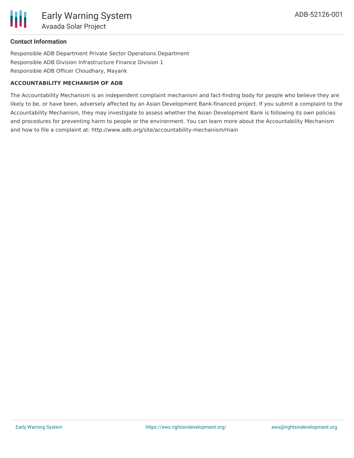# **Contact Information**

Responsible ADB Department Private Sector Operations Department Responsible ADB Division Infrastructure Finance Division 1 Responsible ADB Officer Choudhary, Mayank

#### **ACCOUNTABILITY MECHANISM OF ADB**

The Accountability Mechanism is an independent complaint mechanism and fact-finding body for people who believe they are likely to be, or have been, adversely affected by an Asian Development Bank-financed project. If you submit a complaint to the Accountability Mechanism, they may investigate to assess whether the Asian Development Bank is following its own policies and procedures for preventing harm to people or the environment. You can learn more about the Accountability Mechanism and how to file a complaint at: http://www.adb.org/site/accountability-mechanism/main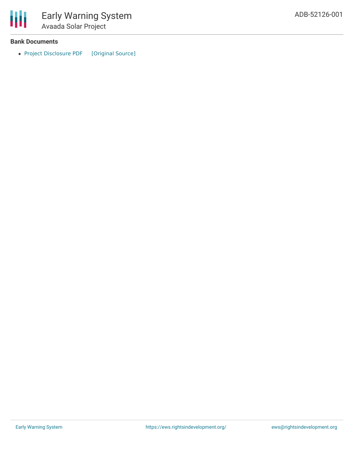

#### **Bank Documents**

• Project [Disclosure](https://ewsdata.rightsindevelopment.org/files/documents/01/ADB-52126-001.pdf) PDF [\[Original](https://www.adb.org/printpdf/projects/52126-001/main) Source]